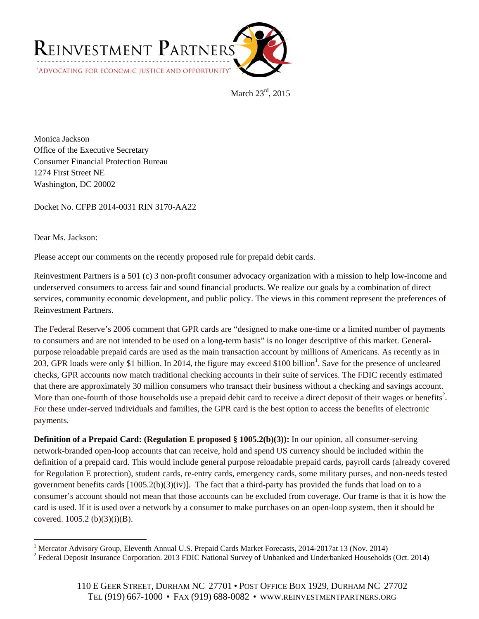

March 23rd, 2015

Monica Jackson Office of the Executive Secretary Consumer Financial Protection Bureau 1274 First Street NE Washington, DC 20002

Docket No. CFPB 2014-0031 RIN 3170-AA22

Dear Ms. Jackson:

Please accept our comments on the recently proposed rule for prepaid debit cards.

Reinvestment Partners is a 501 (c) 3 non-profit consumer advocacy organization with a mission to help low-income and underserved consumers to access fair and sound financial products. We realize our goals by a combination of direct services, community economic development, and public policy. The views in this comment represent the preferences of Reinvestment Partners.

The Federal Reserve's 2006 comment that GPR cards are "designed to make one-time or a limited number of payments to consumers and are not intended to be used on a long-term basis" is no longer descriptive of this market. Generalpurpose reloadable prepaid cards are used as the main transaction account by millions of Americans. As recently as in 203, GPR loads were only \$1 billion. In 2014, the figure may exceed \$100 billion<sup>1</sup>. Save for the presence of uncleared checks, GPR accounts now match traditional checking accounts in their suite of services. The FDIC recently estimated that there are approximately 30 million consumers who transact their business without a checking and savings account. More than one-fourth of those households use a prepaid debit card to receive a direct deposit of their wages or benefits<sup>2</sup>. For these under-served individuals and families, the GPR card is the best option to access the benefits of electronic payments.

**Definition of a Prepaid Card: (Regulation E proposed § 1005.2(b)(3)):** In our opinion, all consumer-serving network-branded open-loop accounts that can receive, hold and spend US currency should be included within the definition of a prepaid card. This would include general purpose reloadable prepaid cards, payroll cards (already covered for Regulation E protection), student cards, re-entry cards, emergency cards, some military purses, and non-needs tested government benefits cards  $[1005.2(b)(3)(iv)]$ . The fact that a third-party has provided the funds that load on to a consumer's account should not mean that those accounts can be excluded from coverage. Our frame is that it is how the card is used. If it is used over a network by a consumer to make purchases on an open-loop system, then it should be covered. 1005.2 (b)(3)(i)(B).

 $\overline{a}$ 

<sup>&</sup>lt;sup>1</sup> Mercator Advisory Group, Eleventh Annual U.S. Prepaid Cards Market Forecasts, 2014-2017at 13 (Nov. 2014) <sup>2</sup> Federal Deposit Insurance Corporation. 2013 FDIC National Survey of Unbanked and Underbanked Households (Oct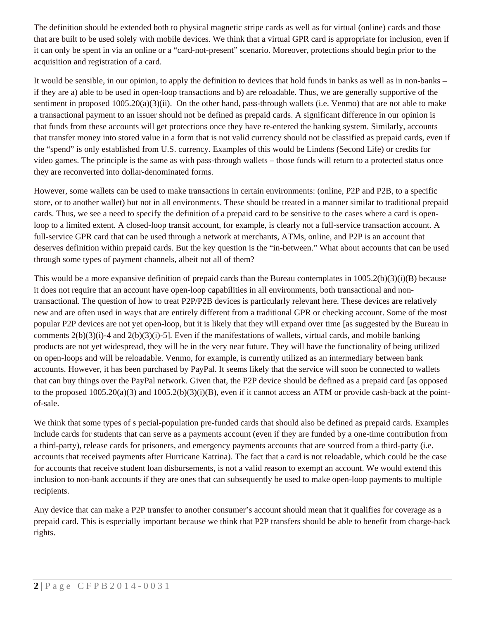The definition should be extended both to physical magnetic stripe cards as well as for virtual (online) cards and those that are built to be used solely with mobile devices. We think that a virtual GPR card is appropriate for inclusion, even if it can only be spent in via an online or a "card-not-present" scenario. Moreover, protections should begin prior to the acquisition and registration of a card.

It would be sensible, in our opinion, to apply the definition to devices that hold funds in banks as well as in non-banks – if they are a) able to be used in open-loop transactions and b) are reloadable. Thus, we are generally supportive of the sentiment in proposed  $1005.20(a)(3)(ii)$ . On the other hand, pass-through wallets (i.e. Venmo) that are not able to make a transactional payment to an issuer should not be defined as prepaid cards. A significant difference in our opinion is that funds from these accounts will get protections once they have re-entered the banking system. Similarly, accounts that transfer money into stored value in a form that is not valid currency should not be classified as prepaid cards, even if the "spend" is only established from U.S. currency. Examples of this would be Lindens (Second Life) or credits for video games. The principle is the same as with pass-through wallets – those funds will return to a protected status once they are reconverted into dollar-denominated forms.

However, some wallets can be used to make transactions in certain environments: (online, P2P and P2B, to a specific store, or to another wallet) but not in all environments. These should be treated in a manner similar to traditional prepaid cards. Thus, we see a need to specify the definition of a prepaid card to be sensitive to the cases where a card is openloop to a limited extent. A closed-loop transit account, for example, is clearly not a full-service transaction account. A full-service GPR card that can be used through a network at merchants, ATMs, online, and P2P is an account that deserves definition within prepaid cards. But the key question is the "in-between." What about accounts that can be used through some types of payment channels, albeit not all of them?

This would be a more expansive definition of prepaid cards than the Bureau contemplates in  $1005.2(b)(3)(i)(B)$  because it does not require that an account have open-loop capabilities in all environments, both transactional and nontransactional. The question of how to treat P2P/P2B devices is particularly relevant here. These devices are relatively new and are often used in ways that are entirely different from a traditional GPR or checking account. Some of the most popular P2P devices are not yet open-loop, but it is likely that they will expand over time [as suggested by the Bureau in comments 2(b)(3)(i)-4 and 2(b)(3)(i)-5]. Even if the manifestations of wallets, virtual cards, and mobile banking products are not yet widespread, they will be in the very near future. They will have the functionality of being utilized on open-loops and will be reloadable. Venmo, for example, is currently utilized as an intermediary between bank accounts. However, it has been purchased by PayPal. It seems likely that the service will soon be connected to wallets that can buy things over the PayPal network. Given that, the P2P device should be defined as a prepaid card [as opposed to the proposed  $1005.20(a)(3)$  and  $1005.2(b)(3)(i)(B)$ , even if it cannot access an ATM or provide cash-back at the pointof-sale.

We think that some types of s pecial-population pre-funded cards that should also be defined as prepaid cards. Examples include cards for students that can serve as a payments account (even if they are funded by a one-time contribution from a third-party), release cards for prisoners, and emergency payments accounts that are sourced from a third-party (i.e. accounts that received payments after Hurricane Katrina). The fact that a card is not reloadable, which could be the case for accounts that receive student loan disbursements, is not a valid reason to exempt an account. We would extend this inclusion to non-bank accounts if they are ones that can subsequently be used to make open-loop payments to multiple recipients.

Any device that can make a P2P transfer to another consumer's account should mean that it qualifies for coverage as a prepaid card. This is especially important because we think that P2P transfers should be able to benefit from charge-back rights.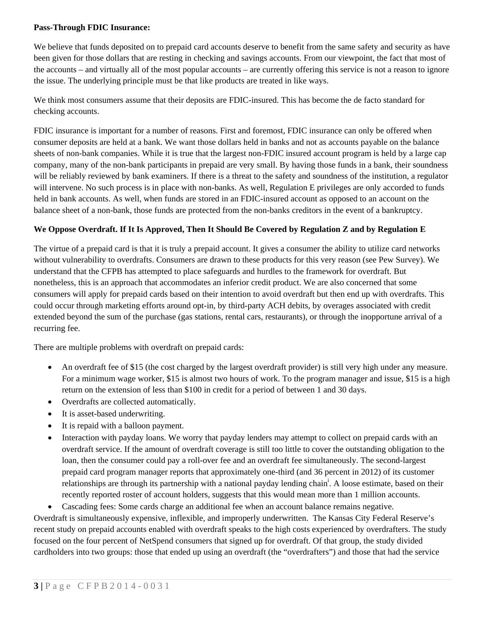#### **Pass-Through FDIC Insurance:**

We believe that funds deposited on to prepaid card accounts deserve to benefit from the same safety and security as have been given for those dollars that are resting in checking and savings accounts. From our viewpoint, the fact that most of the accounts – and virtually all of the most popular accounts – are currently offering this service is not a reason to ignore the issue. The underlying principle must be that like products are treated in like ways.

We think most consumers assume that their deposits are FDIC-insured. This has become the de facto standard for checking accounts.

FDIC insurance is important for a number of reasons. First and foremost, FDIC insurance can only be offered when consumer deposits are held at a bank. We want those dollars held in banks and not as accounts payable on the balance sheets of non-bank companies. While it is true that the largest non-FDIC insured account program is held by a large cap company, many of the non-bank participants in prepaid are very small. By having those funds in a bank, their soundness will be reliably reviewed by bank examiners. If there is a threat to the safety and soundness of the institution, a regulator will intervene. No such process is in place with non-banks. As well, Regulation E privileges are only accorded to funds held in bank accounts. As well, when funds are stored in an FDIC-insured account as opposed to an account on the balance sheet of a non-bank, those funds are protected from the non-banks creditors in the event of a bankruptcy.

#### **We Oppose Overdraft. If It Is Approved, Then It Should Be Covered by Regulation Z and by Regulation E**

The virtue of a prepaid card is that it is truly a prepaid account. It gives a consumer the ability to utilize card networks without vulnerability to overdrafts. Consumers are drawn to these products for this very reason (see Pew Survey). We understand that the CFPB has attempted to place safeguards and hurdles to the framework for overdraft. But nonetheless, this is an approach that accommodates an inferior credit product. We are also concerned that some consumers will apply for prepaid cards based on their intention to avoid overdraft but then end up with overdrafts. This could occur through marketing efforts around opt-in, by third-party ACH debits, by overages associated with credit extended beyond the sum of the purchase (gas stations, rental cars, restaurants), or through the inopportune arrival of a recurring fee.

There are multiple problems with overdraft on prepaid cards:

- An overdraft fee of \$15 (the cost charged by the largest overdraft provider) is still very high under any measure. For a minimum wage worker, \$15 is almost two hours of work. To the program manager and issue, \$15 is a high return on the extension of less than \$100 in credit for a period of between 1 and 30 days.
- Overdrafts are collected automatically.
- It is asset-based underwriting.
- It is repaid with a balloon payment.
- Interaction with payday loans. We worry that payday lenders may attempt to collect on prepaid cards with an overdraft service. If the amount of overdraft coverage is still too little to cover the outstanding obligation to the loan, then the consumer could pay a roll-over fee and an overdraft fee simultaneously. The second-largest prepaid card program manager reports that approximately one-third (and 36 percent in 2012) of its customer relationships are through its partnership with a national payday lending chain<sup>i</sup>. A loose estimate, based on their recently reported roster of account holders, suggests that this would mean more than 1 million accounts.
- Cascading fees: Some cards charge an additional fee when an account balance remains negative.

Overdraft is simultaneously expensive, inflexible, and improperly underwritten. The Kansas City Federal Reserve's recent study on prepaid accounts enabled with overdraft speaks to the high costs experienced by overdrafters. The study focused on the four percent of NetSpend consumers that signed up for overdraft. Of that group, the study divided cardholders into two groups: those that ended up using an overdraft (the "overdrafters") and those that had the service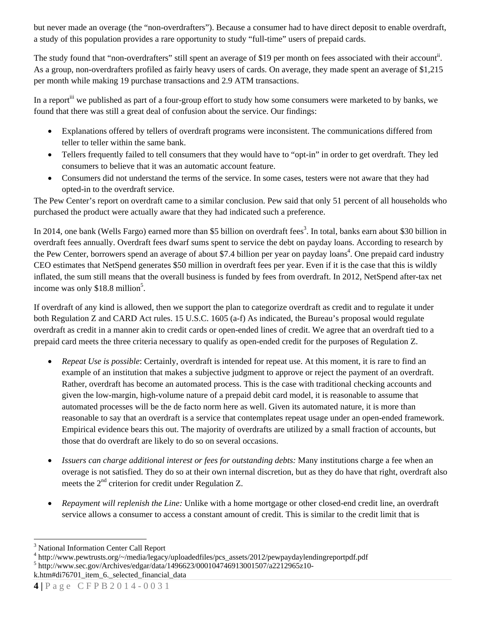but never made an overage (the "non-overdrafters"). Because a consumer had to have direct deposit to enable overdraft, a study of this population provides a rare opportunity to study "full-time" users of prepaid cards.

The study found that "non-overdrafters" still spent an average of \$19 per month on fees associated with their account<sup>ii</sup>. As a group, non-overdrafters profiled as fairly heavy users of cards. On average, they made spent an average of \$1,215 per month while making 19 purchase transactions and 2.9 ATM transactions.

In a report<sup>iii</sup> we published as part of a four-group effort to study how some consumers were marketed to by banks, we found that there was still a great deal of confusion about the service. Our findings:

- Explanations offered by tellers of overdraft programs were inconsistent. The communications differed from teller to teller within the same bank.
- Tellers frequently failed to tell consumers that they would have to "opt-in" in order to get overdraft. They led consumers to believe that it was an automatic account feature.
- Consumers did not understand the terms of the service. In some cases, testers were not aware that they had opted-in to the overdraft service.

The Pew Center's report on overdraft came to a similar conclusion. Pew said that only 51 percent of all households who purchased the product were actually aware that they had indicated such a preference.

In 2014, one bank (Wells Fargo) earned more than \$5 billion on overdraft fees<sup>3</sup>. In total, banks earn about \$30 billion in overdraft fees annually. Overdraft fees dwarf sums spent to service the debt on payday loans. According to research by the Pew Center, borrowers spend an average of about \$7.4 billion per year on payday loans<sup>4</sup>. One prepaid card industry CEO estimates that NetSpend generates \$50 million in overdraft fees per year. Even if it is the case that this is wildly inflated, the sum still means that the overall business is funded by fees from overdraft. In 2012, NetSpend after-tax net income was only  $$18.8$  million<sup>5</sup>.

If overdraft of any kind is allowed, then we support the plan to categorize overdraft as credit and to regulate it under both Regulation Z and CARD Act rules. 15 U.S.C. 1605 (a-f) As indicated, the Bureau's proposal would regulate overdraft as credit in a manner akin to credit cards or open-ended lines of credit. We agree that an overdraft tied to a prepaid card meets the three criteria necessary to qualify as open-ended credit for the purposes of Regulation Z.

- *Repeat Use is possible*: Certainly, overdraft is intended for repeat use. At this moment, it is rare to find an example of an institution that makes a subjective judgment to approve or reject the payment of an overdraft. Rather, overdraft has become an automated process. This is the case with traditional checking accounts and given the low-margin, high-volume nature of a prepaid debit card model, it is reasonable to assume that automated processes will be the de facto norm here as well. Given its automated nature, it is more than reasonable to say that an overdraft is a service that contemplates repeat usage under an open-ended framework. Empirical evidence bears this out. The majority of overdrafts are utilized by a small fraction of accounts, but those that do overdraft are likely to do so on several occasions.
- *Issuers can charge additional interest or fees for outstanding debts:* Many institutions charge a fee when an overage is not satisfied. They do so at their own internal discretion, but as they do have that right, overdraft also meets the  $2<sup>nd</sup>$  criterion for credit under Regulation Z.
- *Repayment will replenish the Line:* Unlike with a home mortgage or other closed-end credit line, an overdraft service allows a consumer to access a constant amount of credit. This is similar to the credit limit that is

 $^{4}$  http://www.pewtrusts.org/~/media/legacy/uploadedfiles/pcs\_assets/2012/pewpaydaylendingreportpdf.pdf<br>5 http://www.coc.gov/Archives/edgar/deta/1406622/000104746012001507/c2212065z10

 $\overline{a}$ <sup>3</sup> National Information Center Call Report

http://www.sec.gov/Archives/edgar/data/1496623/000104746913001507/a2212965z10-

k.htm#di76701\_item\_6.\_selected\_financial\_data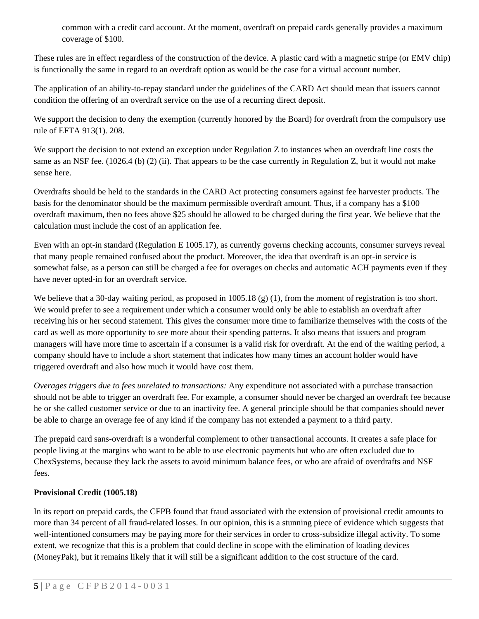common with a credit card account. At the moment, overdraft on prepaid cards generally provides a maximum coverage of \$100.

These rules are in effect regardless of the construction of the device. A plastic card with a magnetic stripe (or EMV chip) is functionally the same in regard to an overdraft option as would be the case for a virtual account number.

The application of an ability-to-repay standard under the guidelines of the CARD Act should mean that issuers cannot condition the offering of an overdraft service on the use of a recurring direct deposit.

We support the decision to deny the exemption (currently honored by the Board) for overdraft from the compulsory use rule of EFTA 913(1). 208.

We support the decision to not extend an exception under Regulation Z to instances when an overdraft line costs the same as an NSF fee. (1026.4 (b) (2) (ii). That appears to be the case currently in Regulation Z, but it would not make sense here.

Overdrafts should be held to the standards in the CARD Act protecting consumers against fee harvester products. The basis for the denominator should be the maximum permissible overdraft amount. Thus, if a company has a \$100 overdraft maximum, then no fees above \$25 should be allowed to be charged during the first year. We believe that the calculation must include the cost of an application fee.

Even with an opt-in standard (Regulation E 1005.17), as currently governs checking accounts, consumer surveys reveal that many people remained confused about the product. Moreover, the idea that overdraft is an opt-in service is somewhat false, as a person can still be charged a fee for overages on checks and automatic ACH payments even if they have never opted-in for an overdraft service.

We believe that a 30-day waiting period, as proposed in 1005.18  $(g)$  (1), from the moment of registration is too short. We would prefer to see a requirement under which a consumer would only be able to establish an overdraft after receiving his or her second statement. This gives the consumer more time to familiarize themselves with the costs of the card as well as more opportunity to see more about their spending patterns. It also means that issuers and program managers will have more time to ascertain if a consumer is a valid risk for overdraft. At the end of the waiting period, a company should have to include a short statement that indicates how many times an account holder would have triggered overdraft and also how much it would have cost them.

*Overages triggers due to fees unrelated to transactions:* Any expenditure not associated with a purchase transaction should not be able to trigger an overdraft fee. For example, a consumer should never be charged an overdraft fee because he or she called customer service or due to an inactivity fee. A general principle should be that companies should never be able to charge an overage fee of any kind if the company has not extended a payment to a third party.

The prepaid card sans-overdraft is a wonderful complement to other transactional accounts. It creates a safe place for people living at the margins who want to be able to use electronic payments but who are often excluded due to ChexSystems, because they lack the assets to avoid minimum balance fees, or who are afraid of overdrafts and NSF fees.

## **Provisional Credit (1005.18)**

In its report on prepaid cards, the CFPB found that fraud associated with the extension of provisional credit amounts to more than 34 percent of all fraud-related losses. In our opinion, this is a stunning piece of evidence which suggests that well-intentioned consumers may be paying more for their services in order to cross-subsidize illegal activity. To some extent, we recognize that this is a problem that could decline in scope with the elimination of loading devices (MoneyPak), but it remains likely that it will still be a significant addition to the cost structure of the card.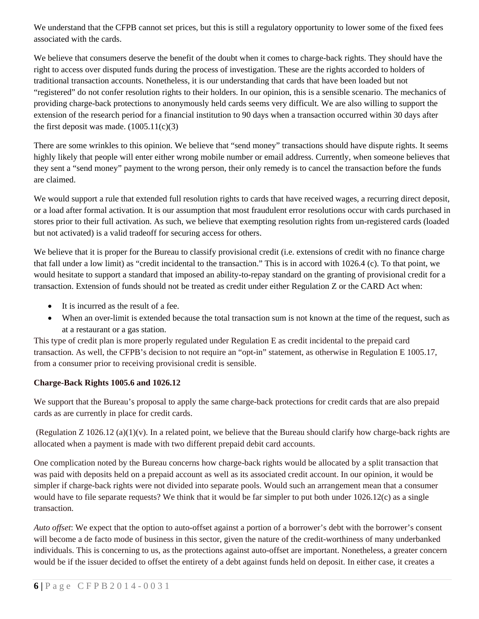We understand that the CFPB cannot set prices, but this is still a regulatory opportunity to lower some of the fixed fees associated with the cards.

We believe that consumers deserve the benefit of the doubt when it comes to charge-back rights. They should have the right to access over disputed funds during the process of investigation. These are the rights accorded to holders of traditional transaction accounts. Nonetheless, it is our understanding that cards that have been loaded but not "registered" do not confer resolution rights to their holders. In our opinion, this is a sensible scenario. The mechanics of providing charge-back protections to anonymously held cards seems very difficult. We are also willing to support the extension of the research period for a financial institution to 90 days when a transaction occurred within 30 days after the first deposit was made.  $(1005.11(c)(3))$ 

There are some wrinkles to this opinion. We believe that "send money" transactions should have dispute rights. It seems highly likely that people will enter either wrong mobile number or email address. Currently, when someone believes that they sent a "send money" payment to the wrong person, their only remedy is to cancel the transaction before the funds are claimed.

We would support a rule that extended full resolution rights to cards that have received wages, a recurring direct deposit, or a load after formal activation. It is our assumption that most fraudulent error resolutions occur with cards purchased in stores prior to their full activation. As such, we believe that exempting resolution rights from un-registered cards (loaded but not activated) is a valid tradeoff for securing access for others.

We believe that it is proper for the Bureau to classify provisional credit (i.e. extensions of credit with no finance charge that fall under a low limit) as "credit incidental to the transaction." This is in accord with 1026.4 (c). To that point, we would hesitate to support a standard that imposed an ability-to-repay standard on the granting of provisional credit for a transaction. Extension of funds should not be treated as credit under either Regulation Z or the CARD Act when:

- It is incurred as the result of a fee.
- When an over-limit is extended because the total transaction sum is not known at the time of the request, such as at a restaurant or a gas station.

This type of credit plan is more properly regulated under Regulation E as credit incidental to the prepaid card transaction. As well, the CFPB's decision to not require an "opt-in" statement, as otherwise in Regulation E 1005.17, from a consumer prior to receiving provisional credit is sensible.

# **Charge-Back Rights 1005.6 and 1026.12**

We support that the Bureau's proposal to apply the same charge-back protections for credit cards that are also prepaid cards as are currently in place for credit cards.

(Regulation  $Z$  1026.12 (a)(1)(v). In a related point, we believe that the Bureau should clarify how charge-back rights are allocated when a payment is made with two different prepaid debit card accounts.

One complication noted by the Bureau concerns how charge-back rights would be allocated by a split transaction that was paid with deposits held on a prepaid account as well as its associated credit account. In our opinion, it would be simpler if charge-back rights were not divided into separate pools. Would such an arrangement mean that a consumer would have to file separate requests? We think that it would be far simpler to put both under 1026.12(c) as a single transaction.

*Auto offset*: We expect that the option to auto-offset against a portion of a borrower's debt with the borrower's consent will become a de facto mode of business in this sector, given the nature of the credit-worthiness of many underbanked individuals. This is concerning to us, as the protections against auto-offset are important. Nonetheless, a greater concern would be if the issuer decided to offset the entirety of a debt against funds held on deposit. In either case, it creates a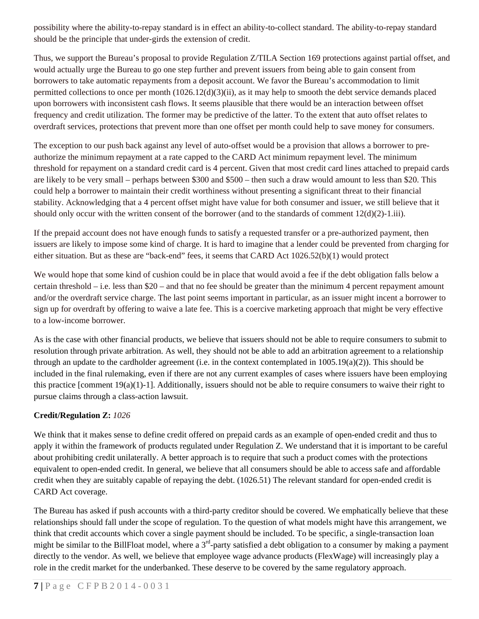possibility where the ability-to-repay standard is in effect an ability-to-collect standard. The ability-to-repay standard should be the principle that under-girds the extension of credit.

Thus, we support the Bureau's proposal to provide Regulation Z/TILA Section 169 protections against partial offset, and would actually urge the Bureau to go one step further and prevent issuers from being able to gain consent from borrowers to take automatic repayments from a deposit account. We favor the Bureau's accommodation to limit permitted collections to once per month (1026.12(d)(3)(ii), as it may help to smooth the debt service demands placed upon borrowers with inconsistent cash flows. It seems plausible that there would be an interaction between offset frequency and credit utilization. The former may be predictive of the latter. To the extent that auto offset relates to overdraft services, protections that prevent more than one offset per month could help to save money for consumers.

The exception to our push back against any level of auto-offset would be a provision that allows a borrower to preauthorize the minimum repayment at a rate capped to the CARD Act minimum repayment level. The minimum threshold for repayment on a standard credit card is 4 percent. Given that most credit card lines attached to prepaid cards are likely to be very small – perhaps between \$300 and \$500 – then such a draw would amount to less than \$20. This could help a borrower to maintain their credit worthiness without presenting a significant threat to their financial stability. Acknowledging that a 4 percent offset might have value for both consumer and issuer, we still believe that it should only occur with the written consent of the borrower (and to the standards of comment  $12(d)(2)-1.iii$ ).

If the prepaid account does not have enough funds to satisfy a requested transfer or a pre-authorized payment, then issuers are likely to impose some kind of charge. It is hard to imagine that a lender could be prevented from charging for either situation. But as these are "back-end" fees, it seems that CARD Act 1026.52(b)(1) would protect

We would hope that some kind of cushion could be in place that would avoid a fee if the debt obligation falls below a certain threshold – i.e. less than \$20 – and that no fee should be greater than the minimum 4 percent repayment amount and/or the overdraft service charge. The last point seems important in particular, as an issuer might incent a borrower to sign up for overdraft by offering to waive a late fee. This is a coercive marketing approach that might be very effective to a low-income borrower.

As is the case with other financial products, we believe that issuers should not be able to require consumers to submit to resolution through private arbitration. As well, they should not be able to add an arbitration agreement to a relationship through an update to the cardholder agreement (i.e. in the context contemplated in  $1005.19(a)(2)$ ). This should be included in the final rulemaking, even if there are not any current examples of cases where issuers have been employing this practice [comment  $19(a)(1)-1$ ]. Additionally, issuers should not be able to require consumers to waive their right to pursue claims through a class-action lawsuit.

## **Credit/Regulation Z:** *1026*

We think that it makes sense to define credit offered on prepaid cards as an example of open-ended credit and thus to apply it within the framework of products regulated under Regulation Z. We understand that it is important to be careful about prohibiting credit unilaterally. A better approach is to require that such a product comes with the protections equivalent to open-ended credit. In general, we believe that all consumers should be able to access safe and affordable credit when they are suitably capable of repaying the debt. (1026.51) The relevant standard for open-ended credit is CARD Act coverage.

The Bureau has asked if push accounts with a third-party creditor should be covered. We emphatically believe that these relationships should fall under the scope of regulation. To the question of what models might have this arrangement, we think that credit accounts which cover a single payment should be included. To be specific, a single-transaction loan might be similar to the BillFloat model, where a  $3<sup>rd</sup>$ -party satisfied a debt obligation to a consumer by making a payment directly to the vendor. As well, we believe that employee wage advance products (FlexWage) will increasingly play a role in the credit market for the underbanked. These deserve to be covered by the same regulatory approach.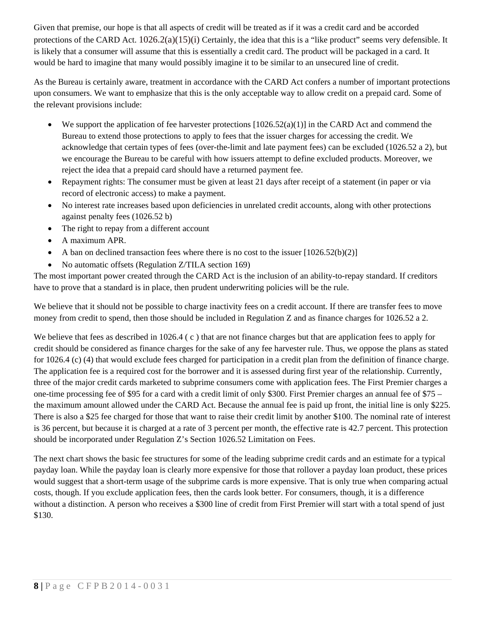Given that premise, our hope is that all aspects of credit will be treated as if it was a credit card and be accorded protections of the CARD Act.  $1026.2(a)(15)(i)$  Certainly, the idea that this is a "like product" seems very defensible. It is likely that a consumer will assume that this is essentially a credit card. The product will be packaged in a card. It would be hard to imagine that many would possibly imagine it to be similar to an unsecured line of credit.

As the Bureau is certainly aware, treatment in accordance with the CARD Act confers a number of important protections upon consumers. We want to emphasize that this is the only acceptable way to allow credit on a prepaid card. Some of the relevant provisions include:

- $\bullet$  We support the application of fee harvester protections [1026.52(a)(1)] in the CARD Act and commend the Bureau to extend those protections to apply to fees that the issuer charges for accessing the credit. We acknowledge that certain types of fees (over-the-limit and late payment fees) can be excluded (1026.52 a 2), but we encourage the Bureau to be careful with how issuers attempt to define excluded products. Moreover, we reject the idea that a prepaid card should have a returned payment fee.
- Repayment rights: The consumer must be given at least 21 days after receipt of a statement (in paper or via record of electronic access) to make a payment.
- No interest rate increases based upon deficiencies in unrelated credit accounts, along with other protections against penalty fees (1026.52 b)
- The right to repay from a different account
- A maximum APR.
- A ban on declined transaction fees where there is no cost to the issuer  $[1026.52(b)(2)]$
- No automatic offsets (Regulation Z/TILA section 169)

The most important power created through the CARD Act is the inclusion of an ability-to-repay standard. If creditors have to prove that a standard is in place, then prudent underwriting policies will be the rule.

We believe that it should not be possible to charge inactivity fees on a credit account. If there are transfer fees to move money from credit to spend, then those should be included in Regulation Z and as finance charges for 1026.52 a 2.

We believe that fees as described in 1026.4 (c) that are not finance charges but that are application fees to apply for credit should be considered as finance charges for the sake of any fee harvester rule. Thus, we oppose the plans as stated for 1026.4 (c) (4) that would exclude fees charged for participation in a credit plan from the definition of finance charge. The application fee is a required cost for the borrower and it is assessed during first year of the relationship. Currently, three of the major credit cards marketed to subprime consumers come with application fees. The First Premier charges a one-time processing fee of \$95 for a card with a credit limit of only \$300. First Premier charges an annual fee of \$75 – the maximum amount allowed under the CARD Act. Because the annual fee is paid up front, the initial line is only \$225. There is also a \$25 fee charged for those that want to raise their credit limit by another \$100. The nominal rate of interest is 36 percent, but because it is charged at a rate of 3 percent per month, the effective rate is 42.7 percent. This protection should be incorporated under Regulation Z's Section 1026.52 Limitation on Fees.

The next chart shows the basic fee structures for some of the leading subprime credit cards and an estimate for a typical payday loan. While the payday loan is clearly more expensive for those that rollover a payday loan product, these prices would suggest that a short-term usage of the subprime cards is more expensive. That is only true when comparing actual costs, though. If you exclude application fees, then the cards look better. For consumers, though, it is a difference without a distinction. A person who receives a \$300 line of credit from First Premier will start with a total spend of just \$130.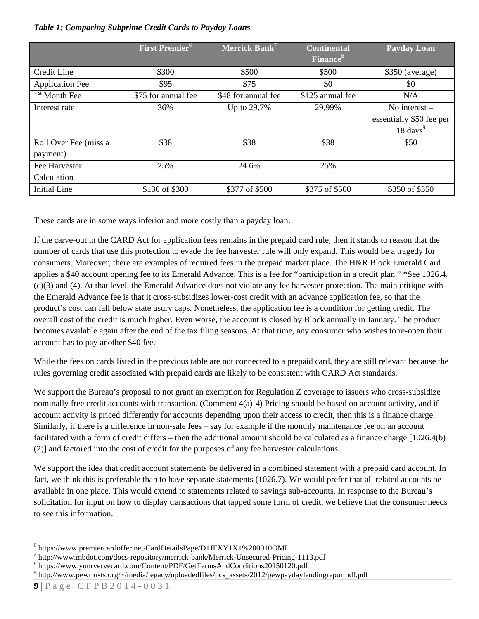### *Table 1: Comparing Subprime Credit Cards to Payday Loans*

|                        | <b>First Premier</b> <sup>6</sup> | Merrick Bank <sup>7</sup> | <b>Continental</b><br><b>Finance</b> <sup>8</sup> | <b>Payday Loan</b>       |
|------------------------|-----------------------------------|---------------------------|---------------------------------------------------|--------------------------|
|                        |                                   |                           |                                                   |                          |
| Credit Line            | \$300                             | \$500                     | \$500                                             | $$350$ (average)         |
| <b>Application Fee</b> | \$95                              | \$75                      | \$0                                               | \$0                      |
| $1st$ Month Fee        | \$75 for annual fee               | \$48 for annual fee       | \$125 annual fee                                  | N/A                      |
| Interest rate          | 36%                               | Up to 29.7%               | 29.99%                                            | No interest $-$          |
|                        |                                   |                           |                                                   | essentially \$50 fee per |
|                        |                                   |                           |                                                   | $18 \text{ days}^9$      |
| Roll Over Fee (miss a  | \$38                              | \$38                      | \$38                                              | \$50                     |
| payment)               |                                   |                           |                                                   |                          |
| Fee Harvester          | 25%                               | 24.6%                     | 25%                                               |                          |
| Calculation            |                                   |                           |                                                   |                          |
| <b>Initial Line</b>    | \$130 of \$300                    | \$377 of \$500            | \$375 of \$500                                    | \$350 of \$350           |

These cards are in some ways inferior and more costly than a payday loan.

If the carve-out in the CARD Act for application fees remains in the prepaid card rule, then it stands to reason that the number of cards that use this protection to evade the fee harvester rule will only expand. This would be a tragedy for consumers. Moreover, there are examples of required fees in the prepaid market place. The H&R Block Emerald Card applies a \$40 account opening fee to its Emerald Advance. This is a fee for "participation in a credit plan." \*See 1026.4. (c)(3) and (4). At that level, the Emerald Advance does not violate any fee harvester protection. The main critique with the Emerald Advance fee is that it cross-subsidizes lower-cost credit with an advance application fee, so that the product's cost can fall below state usury caps. Nonetheless, the application fee is a condition for getting credit. The overall cost of the credit is much higher. Even worse, the account is closed by Block annually in January. The product becomes available again after the end of the tax filing seasons. At that time, any consumer who wishes to re-open their account has to pay another \$40 fee.

While the fees on cards listed in the previous table are not connected to a prepaid card, they are still relevant because the rules governing credit associated with prepaid cards are likely to be consistent with CARD Act standards.

We support the Bureau's proposal to not grant an exemption for Regulation Z coverage to issuers who cross-subsidize nominally free credit accounts with transaction. (Comment 4(a)-4) Pricing should be based on account activity, and if account activity is priced differently for accounts depending upon their access to credit, then this is a finance charge. Similarly, if there is a difference in non-sale fees – say for example if the monthly maintenance fee on an account facilitated with a form of credit differs – then the additional amount should be calculated as a finance charge [1026.4(b) (2)] and factored into the cost of credit for the purposes of any fee harvester calculations.

We support the idea that credit account statements be delivered in a combined statement with a prepaid card account. In fact, we think this is preferable than to have separate statements (1026.7). We would prefer that all related accounts be available in one place. This would extend to statements related to savings sub-accounts. In response to the Bureau's solicitation for input on how to display transactions that tapped some form of credit, we believe that the consumer needs to see this information.

<sup>&</sup>lt;sup>6</sup> https://www.premiercardoffer.net/CardDetailsPage/D1JFXY1X1%200010OMI<br><sup>7</sup> http://www.mbdot.com/does.renository/merriek.hepk/Merriek Unegeured Pricit

 $h$ ttp://www.mbdot.com/docs-repository/merrick-bank/Merrick-Unsecured-Pricing-1113.pdf

https://www.yourvervecard.com/Content/PDF/GetTermsAndConditions20150120.pdf 9

<sup>&</sup>lt;sup>9</sup>http://www.pewtrusts.org/~/media/legacy/uploadedfiles/pcs\_assets/2012/pewpaydaylendingreportpdf.pdf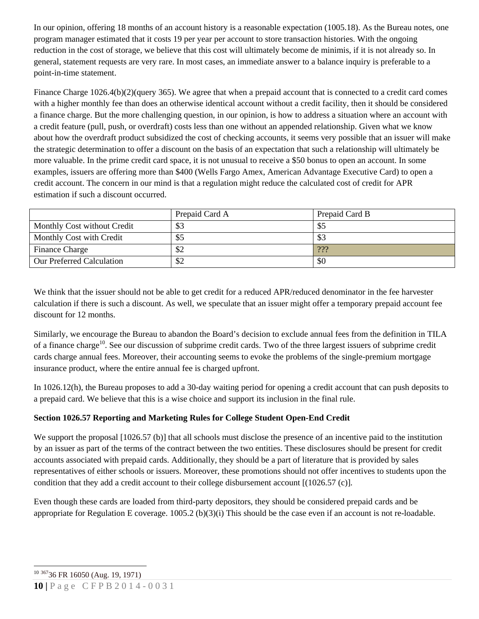In our opinion, offering 18 months of an account history is a reasonable expectation (1005.18). As the Bureau notes, one program manager estimated that it costs 19 per year per account to store transaction histories. With the ongoing reduction in the cost of storage, we believe that this cost will ultimately become de minimis, if it is not already so. In general, statement requests are very rare. In most cases, an immediate answer to a balance inquiry is preferable to a point-in-time statement.

Finance Charge 1026.4(b)(2)(query 365). We agree that when a prepaid account that is connected to a credit card comes with a higher monthly fee than does an otherwise identical account without a credit facility, then it should be considered a finance charge. But the more challenging question, in our opinion, is how to address a situation where an account with a credit feature (pull, push, or overdraft) costs less than one without an appended relationship. Given what we know about how the overdraft product subsidized the cost of checking accounts, it seems very possible that an issuer will make the strategic determination to offer a discount on the basis of an expectation that such a relationship will ultimately be more valuable. In the prime credit card space, it is not unusual to receive a \$50 bonus to open an account. In some examples, issuers are offering more than \$400 (Wells Fargo Amex, American Advantage Executive Card) to open a credit account. The concern in our mind is that a regulation might reduce the calculated cost of credit for APR estimation if such a discount occurred.

|                                  | Prepaid Card A | Prepaid Card B |
|----------------------------------|----------------|----------------|
| Monthly Cost without Credit      | \$3            | ФJ             |
| Monthly Cost with Credit         | \$5            | \$3            |
| <b>Finance Charge</b>            | \$2            | 222            |
| <b>Our Preferred Calculation</b> | \$2            | \$0            |

We think that the issuer should not be able to get credit for a reduced APR/reduced denominator in the fee harvester calculation if there is such a discount. As well, we speculate that an issuer might offer a temporary prepaid account fee discount for 12 months.

Similarly, we encourage the Bureau to abandon the Board's decision to exclude annual fees from the definition in TILA of a finance charge<sup>10</sup>. See our discussion of subprime credit cards. Two of the three largest issuers of subprime credit cards charge annual fees. Moreover, their accounting seems to evoke the problems of the single-premium mortgage insurance product, where the entire annual fee is charged upfront.

In 1026.12(h), the Bureau proposes to add a 30-day waiting period for opening a credit account that can push deposits to a prepaid card. We believe that this is a wise choice and support its inclusion in the final rule.

## **Section 1026.57 Reporting and Marketing Rules for College Student Open-End Credit**

We support the proposal [1026.57 (b)] that all schools must disclose the presence of an incentive paid to the institution by an issuer as part of the terms of the contract between the two entities. These disclosures should be present for credit accounts associated with prepaid cards. Additionally, they should be a part of literature that is provided by sales representatives of either schools or issuers. Moreover, these promotions should not offer incentives to students upon the condition that they add a credit account to their college disbursement account [(1026.57 (c)].

Even though these cards are loaded from third-party depositors, they should be considered prepaid cards and be appropriate for Regulation E coverage.  $1005.2$  (b)(3)(i) This should be the case even if an account is not re-loadable.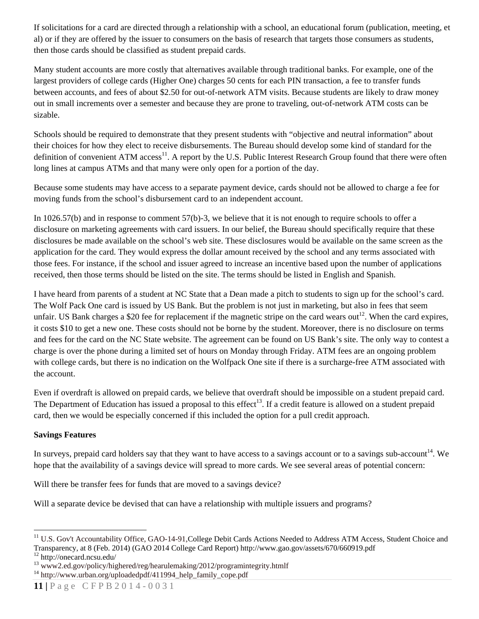If solicitations for a card are directed through a relationship with a school, an educational forum (publication, meeting, et al) or if they are offered by the issuer to consumers on the basis of research that targets those consumers as students, then those cards should be classified as student prepaid cards.

Many student accounts are more costly that alternatives available through traditional banks. For example, one of the largest providers of college cards (Higher One) charges 50 cents for each PIN transaction, a fee to transfer funds between accounts, and fees of about \$2.50 for out-of-network ATM visits. Because students are likely to draw money out in small increments over a semester and because they are prone to traveling, out-of-network ATM costs can be sizable.

Schools should be required to demonstrate that they present students with "objective and neutral information" about their choices for how they elect to receive disbursements. The Bureau should develop some kind of standard for the definition of convenient ATM  $access^{11}$ . A report by the U.S. Public Interest Research Group found that there were often long lines at campus ATMs and that many were only open for a portion of the day.

Because some students may have access to a separate payment device, cards should not be allowed to charge a fee for moving funds from the school's disbursement card to an independent account.

In 1026.57(b) and in response to comment 57(b)-3, we believe that it is not enough to require schools to offer a disclosure on marketing agreements with card issuers. In our belief, the Bureau should specifically require that these disclosures be made available on the school's web site. These disclosures would be available on the same screen as the application for the card. They would express the dollar amount received by the school and any terms associated with those fees. For instance, if the school and issuer agreed to increase an incentive based upon the number of applications received, then those terms should be listed on the site. The terms should be listed in English and Spanish.

I have heard from parents of a student at NC State that a Dean made a pitch to students to sign up for the school's card. The Wolf Pack One card is issued by US Bank. But the problem is not just in marketing, but also in fees that seem unfair. US Bank charges a \$20 fee for replacement if the magnetic stripe on the card wears out<sup>12</sup>. When the card expires, it costs \$10 to get a new one. These costs should not be borne by the student. Moreover, there is no disclosure on terms and fees for the card on the NC State website. The agreement can be found on US Bank's site. The only way to contest a charge is over the phone during a limited set of hours on Monday through Friday. ATM fees are an ongoing problem with college cards, but there is no indication on the Wolfpack One site if there is a surcharge-free ATM associated with the account.

Even if overdraft is allowed on prepaid cards, we believe that overdraft should be impossible on a student prepaid card. The Department of Education has issued a proposal to this effect<sup>13</sup>. If a credit feature is allowed on a student prepaid card, then we would be especially concerned if this included the option for a pull credit approach.

## **Savings Features**

In surveys, prepaid card holders say that they want to have access to a savings account or to a savings sub-account<sup>14</sup>. We hope that the availability of a savings device will spread to more cards. We see several areas of potential concern:

Will there be transfer fees for funds that are moved to a savings device?

Will a separate device be devised that can have a relationship with multiple issuers and programs?

<sup>&</sup>lt;sup>11</sup> U.S. Gov't Accountability Office, GAO-14-91, College Debit Cards Actions Needed to Address ATM Access, Student Choice and Transparency, at 8 (Feb. 2014) (GAO 2014 College Card Report) http://www.gao.gov/assets/670/660919.pdf 12 http://onecard.ncsu.edu/

<sup>&</sup>lt;sup>13</sup> www2.ed.gov/policy/highered/reg/hearulemaking/2012/programintegrity.htmlf<br><sup>14</sup> http://www.urban.org/uploadedpdf/411994\_help\_family\_cope.pdf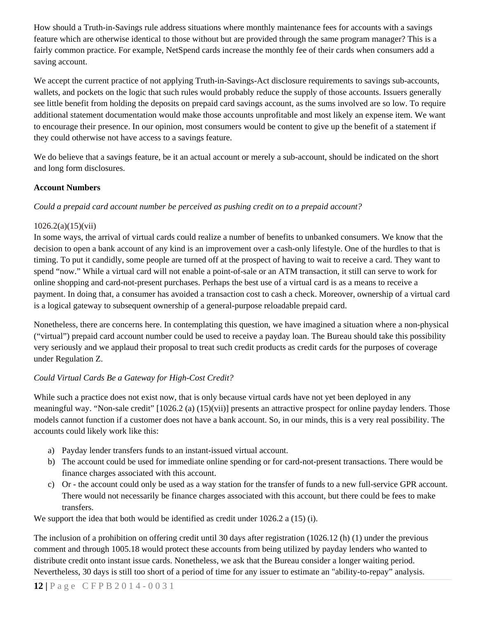How should a Truth-in-Savings rule address situations where monthly maintenance fees for accounts with a savings feature which are otherwise identical to those without but are provided through the same program manager? This is a fairly common practice. For example, NetSpend cards increase the monthly fee of their cards when consumers add a saving account.

We accept the current practice of not applying Truth-in-Savings-Act disclosure requirements to savings sub-accounts, wallets, and pockets on the logic that such rules would probably reduce the supply of those accounts. Issuers generally see little benefit from holding the deposits on prepaid card savings account, as the sums involved are so low. To require additional statement documentation would make those accounts unprofitable and most likely an expense item. We want to encourage their presence. In our opinion, most consumers would be content to give up the benefit of a statement if they could otherwise not have access to a savings feature.

We do believe that a savings feature, be it an actual account or merely a sub-account, should be indicated on the short and long form disclosures.

## **Account Numbers**

*Could a prepaid card account number be perceived as pushing credit on to a prepaid account?* 

# $1026.2(a)(15)(vii)$

In some ways, the arrival of virtual cards could realize a number of benefits to unbanked consumers. We know that the decision to open a bank account of any kind is an improvement over a cash-only lifestyle. One of the hurdles to that is timing. To put it candidly, some people are turned off at the prospect of having to wait to receive a card. They want to spend "now." While a virtual card will not enable a point-of-sale or an ATM transaction, it still can serve to work for online shopping and card-not-present purchases. Perhaps the best use of a virtual card is as a means to receive a payment. In doing that, a consumer has avoided a transaction cost to cash a check. Moreover, ownership of a virtual card is a logical gateway to subsequent ownership of a general-purpose reloadable prepaid card.

Nonetheless, there are concerns here. In contemplating this question, we have imagined a situation where a non-physical ("virtual") prepaid card account number could be used to receive a payday loan. The Bureau should take this possibility very seriously and we applaud their proposal to treat such credit products as credit cards for the purposes of coverage under Regulation Z.

# *Could Virtual Cards Be a Gateway for High-Cost Credit?*

While such a practice does not exist now, that is only because virtual cards have not yet been deployed in any meaningful way. "Non-sale credit" [1026.2 (a) (15)(vii)] presents an attractive prospect for online payday lenders. Those models cannot function if a customer does not have a bank account. So, in our minds, this is a very real possibility. The accounts could likely work like this:

- a) Payday lender transfers funds to an instant-issued virtual account.
- b) The account could be used for immediate online spending or for card-not-present transactions. There would be finance charges associated with this account.
- c) Or the account could only be used as a way station for the transfer of funds to a new full-service GPR account. There would not necessarily be finance charges associated with this account, but there could be fees to make transfers.

We support the idea that both would be identified as credit under 1026.2 a (15) (i).

The inclusion of a prohibition on offering credit until 30 days after registration (1026.12 (h) (1) under the previous comment and through 1005.18 would protect these accounts from being utilized by payday lenders who wanted to distribute credit onto instant issue cards. Nonetheless, we ask that the Bureau consider a longer waiting period. Nevertheless, 30 days is still too short of a period of time for any issuer to estimate an "ability-to-repay" analysis.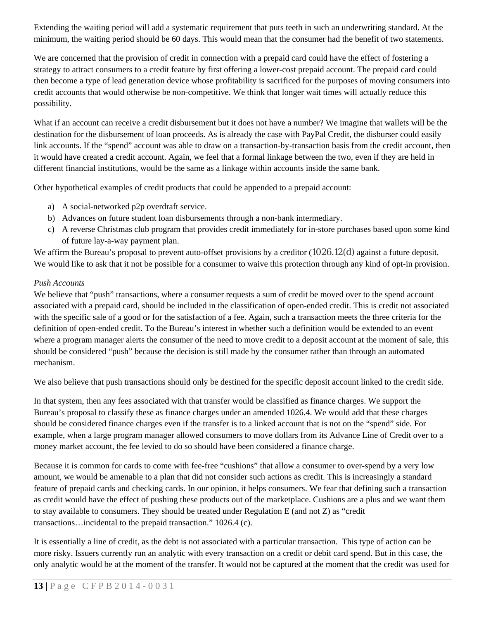Extending the waiting period will add a systematic requirement that puts teeth in such an underwriting standard. At the minimum, the waiting period should be 60 days. This would mean that the consumer had the benefit of two statements.

We are concerned that the provision of credit in connection with a prepaid card could have the effect of fostering a strategy to attract consumers to a credit feature by first offering a lower-cost prepaid account. The prepaid card could then become a type of lead generation device whose profitability is sacrificed for the purposes of moving consumers into credit accounts that would otherwise be non-competitive. We think that longer wait times will actually reduce this possibility.

What if an account can receive a credit disbursement but it does not have a number? We imagine that wallets will be the destination for the disbursement of loan proceeds. As is already the case with PayPal Credit, the disburser could easily link accounts. If the "spend" account was able to draw on a transaction-by-transaction basis from the credit account, then it would have created a credit account. Again, we feel that a formal linkage between the two, even if they are held in different financial institutions, would be the same as a linkage within accounts inside the same bank.

Other hypothetical examples of credit products that could be appended to a prepaid account:

- a) A social-networked p2p overdraft service.
- b) Advances on future student loan disbursements through a non-bank intermediary.
- c) A reverse Christmas club program that provides credit immediately for in-store purchases based upon some kind of future lay-a-way payment plan.

We affirm the Bureau's proposal to prevent auto-offset provisions by a creditor (1026.12(d) against a future deposit. We would like to ask that it not be possible for a consumer to waive this protection through any kind of opt-in provision.

# *Push Accounts*

We believe that "push" transactions, where a consumer requests a sum of credit be moved over to the spend account associated with a prepaid card, should be included in the classification of open-ended credit. This is credit not associated with the specific sale of a good or for the satisfaction of a fee. Again, such a transaction meets the three criteria for the definition of open-ended credit. To the Bureau's interest in whether such a definition would be extended to an event where a program manager alerts the consumer of the need to move credit to a deposit account at the moment of sale, this should be considered "push" because the decision is still made by the consumer rather than through an automated mechanism.

We also believe that push transactions should only be destined for the specific deposit account linked to the credit side.

In that system, then any fees associated with that transfer would be classified as finance charges. We support the Bureau's proposal to classify these as finance charges under an amended 1026.4. We would add that these charges should be considered finance charges even if the transfer is to a linked account that is not on the "spend" side. For example, when a large program manager allowed consumers to move dollars from its Advance Line of Credit over to a money market account, the fee levied to do so should have been considered a finance charge.

Because it is common for cards to come with fee-free "cushions" that allow a consumer to over-spend by a very low amount, we would be amenable to a plan that did not consider such actions as credit. This is increasingly a standard feature of prepaid cards and checking cards. In our opinion, it helps consumers. We fear that defining such a transaction as credit would have the effect of pushing these products out of the marketplace. Cushions are a plus and we want them to stay available to consumers. They should be treated under Regulation E (and not Z) as "credit transactions…incidental to the prepaid transaction." 1026.4 (c).

It is essentially a line of credit, as the debt is not associated with a particular transaction. This type of action can be more risky. Issuers currently run an analytic with every transaction on a credit or debit card spend. But in this case, the only analytic would be at the moment of the transfer. It would not be captured at the moment that the credit was used for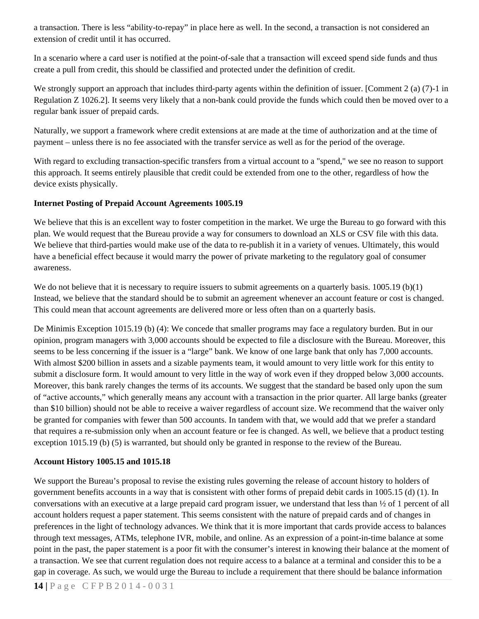a transaction. There is less "ability-to-repay" in place here as well. In the second, a transaction is not considered an extension of credit until it has occurred.

In a scenario where a card user is notified at the point-of-sale that a transaction will exceed spend side funds and thus create a pull from credit, this should be classified and protected under the definition of credit.

We strongly support an approach that includes third-party agents within the definition of issuer. [Comment 2 (a) (7)-1 in Regulation Z 1026.2]. It seems very likely that a non-bank could provide the funds which could then be moved over to a regular bank issuer of prepaid cards.

Naturally, we support a framework where credit extensions at are made at the time of authorization and at the time of payment – unless there is no fee associated with the transfer service as well as for the period of the overage.

With regard to excluding transaction-specific transfers from a virtual account to a "spend," we see no reason to support this approach. It seems entirely plausible that credit could be extended from one to the other, regardless of how the device exists physically.

### **Internet Posting of Prepaid Account Agreements 1005.19**

We believe that this is an excellent way to foster competition in the market. We urge the Bureau to go forward with this plan. We would request that the Bureau provide a way for consumers to download an XLS or CSV file with this data. We believe that third-parties would make use of the data to re-publish it in a variety of venues. Ultimately, this would have a beneficial effect because it would marry the power of private marketing to the regulatory goal of consumer awareness.

We do not believe that it is necessary to require issuers to submit agreements on a quarterly basis. 1005.19 (b)(1) Instead, we believe that the standard should be to submit an agreement whenever an account feature or cost is changed. This could mean that account agreements are delivered more or less often than on a quarterly basis.

De Minimis Exception 1015.19 (b) (4): We concede that smaller programs may face a regulatory burden. But in our opinion, program managers with 3,000 accounts should be expected to file a disclosure with the Bureau. Moreover, this seems to be less concerning if the issuer is a "large" bank. We know of one large bank that only has 7,000 accounts. With almost \$200 billion in assets and a sizable payments team, it would amount to very little work for this entity to submit a disclosure form. It would amount to very little in the way of work even if they dropped below 3,000 accounts. Moreover, this bank rarely changes the terms of its accounts. We suggest that the standard be based only upon the sum of "active accounts," which generally means any account with a transaction in the prior quarter. All large banks (greater than \$10 billion) should not be able to receive a waiver regardless of account size. We recommend that the waiver only be granted for companies with fewer than 500 accounts. In tandem with that, we would add that we prefer a standard that requires a re-submission only when an account feature or fee is changed. As well, we believe that a product testing exception 1015.19 (b) (5) is warranted, but should only be granted in response to the review of the Bureau.

#### **Account History 1005.15 and 1015.18**

We support the Bureau's proposal to revise the existing rules governing the release of account history to holders of government benefits accounts in a way that is consistent with other forms of prepaid debit cards in 1005.15 (d) (1). In conversations with an executive at a large prepaid card program issuer, we understand that less than ½ of 1 percent of all account holders request a paper statement. This seems consistent with the nature of prepaid cards and of changes in preferences in the light of technology advances. We think that it is more important that cards provide access to balances through text messages, ATMs, telephone IVR, mobile, and online. As an expression of a point-in-time balance at some point in the past, the paper statement is a poor fit with the consumer's interest in knowing their balance at the moment of a transaction. We see that current regulation does not require access to a balance at a terminal and consider this to be a gap in coverage. As such, we would urge the Bureau to include a requirement that there should be balance information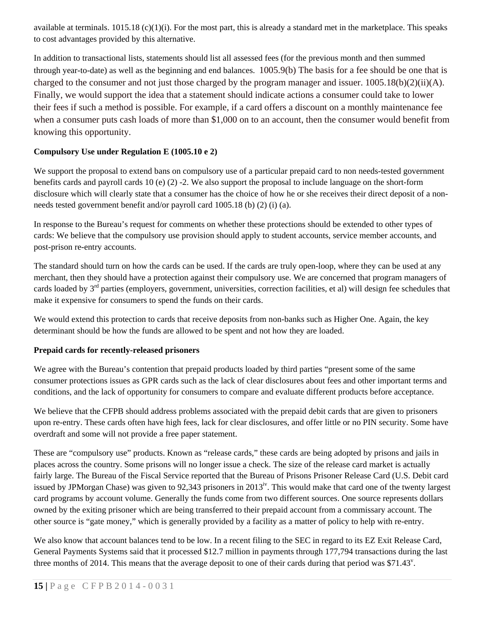available at terminals.  $1015.18$  (c)(1)(i). For the most part, this is already a standard met in the marketplace. This speaks to cost advantages provided by this alternative.

In addition to transactional lists, statements should list all assessed fees (for the previous month and then summed through year-to-date) as well as the beginning and end balances. 1005.9(b) The basis for a fee should be one that is charged to the consumer and not just those charged by the program manager and issuer. 1005.18(b)(2)(ii)(A). Finally, we would support the idea that a statement should indicate actions a consumer could take to lower their fees if such a method is possible. For example, if a card offers a discount on a monthly maintenance fee when a consumer puts cash loads of more than \$1,000 on to an account, then the consumer would benefit from knowing this opportunity.

## **Compulsory Use under Regulation E (1005.10 e 2)**

We support the proposal to extend bans on compulsory use of a particular prepaid card to non needs-tested government benefits cards and payroll cards 10 (e) (2) -2. We also support the proposal to include language on the short-form disclosure which will clearly state that a consumer has the choice of how he or she receives their direct deposit of a nonneeds tested government benefit and/or payroll card 1005.18 (b) (2) (i) (a).

In response to the Bureau's request for comments on whether these protections should be extended to other types of cards: We believe that the compulsory use provision should apply to student accounts, service member accounts, and post-prison re-entry accounts.

The standard should turn on how the cards can be used. If the cards are truly open-loop, where they can be used at any merchant, then they should have a protection against their compulsory use. We are concerned that program managers of cards loaded by  $3<sup>rd</sup>$  parties (employers, government, universities, correction facilities, et al) will design fee schedules that make it expensive for consumers to spend the funds on their cards.

We would extend this protection to cards that receive deposits from non-banks such as Higher One. Again, the key determinant should be how the funds are allowed to be spent and not how they are loaded.

## **Prepaid cards for recently-released prisoners**

We agree with the Bureau's contention that prepaid products loaded by third parties "present some of the same consumer protections issues as GPR cards such as the lack of clear disclosures about fees and other important terms and conditions, and the lack of opportunity for consumers to compare and evaluate different products before acceptance.

We believe that the CFPB should address problems associated with the prepaid debit cards that are given to prisoners upon re-entry. These cards often have high fees, lack for clear disclosures, and offer little or no PIN security. Some have overdraft and some will not provide a free paper statement.

These are "compulsory use" products. Known as "release cards," these cards are being adopted by prisons and jails in places across the country. Some prisons will no longer issue a check. The size of the release card market is actually fairly large. The Bureau of the Fiscal Service reported that the Bureau of Prisons Prisoner Release Card (U.S. Debit card issued by JPMorgan Chase) was given to 92,343 prisoners in  $2013<sup>iv</sup>$ . This would make that card one of the twenty largest card programs by account volume. Generally the funds come from two different sources. One source represents dollars owned by the exiting prisoner which are being transferred to their prepaid account from a commissary account. The other source is "gate money," which is generally provided by a facility as a matter of policy to help with re-entry.

We also know that account balances tend to be low. In a recent filing to the SEC in regard to its EZ Exit Release Card, General Payments Systems said that it processed \$12.7 million in payments through 177,794 transactions during the last three months of 2014. This means that the average deposit to one of their cards during that period was \$71.43 $^{\circ}$ .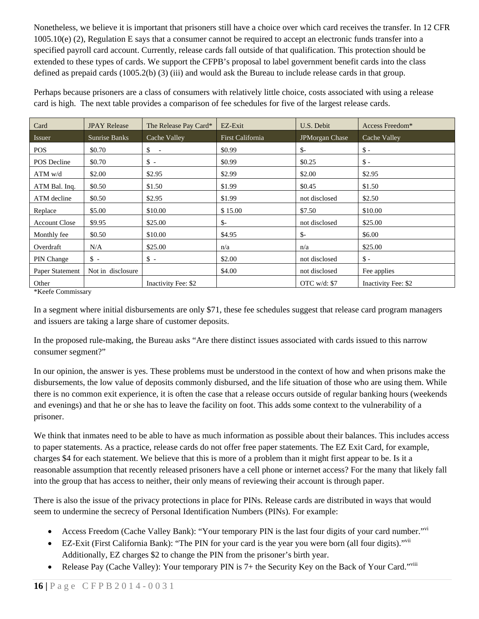Nonetheless, we believe it is important that prisoners still have a choice over which card receives the transfer. In 12 CFR 1005.10(e) (2), Regulation E says that a consumer cannot be required to accept an electronic funds transfer into a specified payroll card account. Currently, release cards fall outside of that qualification. This protection should be extended to these types of cards. We support the CFPB's proposal to label government benefit cards into the class defined as prepaid cards (1005.2(b) (3) (iii) and would ask the Bureau to include release cards in that group.

Perhaps because prisoners are a class of consumers with relatively little choice, costs associated with using a release card is high. The next table provides a comparison of fee schedules for five of the largest release cards.

| Card                 | <b>JPAY Release</b> | The Release Pay Card* | EZ-Exit                 | U.S. Debit            | Access Freedom*     |
|----------------------|---------------------|-----------------------|-------------------------|-----------------------|---------------------|
| Issuer               | Sunrise Banks       | Cache Valley          | <b>First California</b> | <b>JPMorgan Chase</b> | Cache Valley        |
| <b>POS</b>           | \$0.70              | \$<br>$\sim$          | \$0.99                  | $S-$                  | $\mathsf{\$}$ -     |
| <b>POS</b> Decline   | \$0.70              | $\mathbb{S}$ -        | \$0.99                  | \$0.25                | $\mathsf{\$}$ -     |
| $ATM$ w/d            | \$2.00              | \$2.95                | \$2.99                  | \$2.00                | \$2.95              |
| ATM Bal. Inq.        | \$0.50              | \$1.50                | \$1.99                  | \$0.45                | \$1.50              |
| ATM decline          | \$0.50              | \$2.95                | \$1.99                  | not disclosed         | \$2.50              |
| Replace              | \$5.00              | \$10.00               | \$15.00                 | \$7.50                | \$10.00             |
| <b>Account Close</b> | \$9.95              | \$25.00               | $S-$                    | not disclosed         | \$25.00             |
| Monthly fee          | \$0.50              | \$10.00               | \$4.95                  | $\mathbb{S}^-$        | \$6.00              |
| Overdraft            | N/A                 | \$25.00               | n/a                     | n/a                   | \$25.00             |
| PIN Change           | $\mathbb{S}$ -      | $\mathbb{S}$ -        | \$2.00                  | not disclosed         | $\mathsf{\$}$ -     |
| Paper Statement      | Not in disclosure   |                       | \$4.00                  | not disclosed         | Fee applies         |
| Other                |                     | Inactivity Fee: \$2   |                         | OTC $w/d$ : \$7       | Inactivity Fee: \$2 |

\*Keefe Commissary

In a segment where initial disbursements are only \$71, these fee schedules suggest that release card program managers and issuers are taking a large share of customer deposits.

In the proposed rule-making, the Bureau asks "Are there distinct issues associated with cards issued to this narrow consumer segment?"

In our opinion, the answer is yes. These problems must be understood in the context of how and when prisons make the disbursements, the low value of deposits commonly disbursed, and the life situation of those who are using them. While there is no common exit experience, it is often the case that a release occurs outside of regular banking hours (weekends and evenings) and that he or she has to leave the facility on foot. This adds some context to the vulnerability of a prisoner.

We think that inmates need to be able to have as much information as possible about their balances. This includes access to paper statements. As a practice, release cards do not offer free paper statements. The EZ Exit Card, for example, charges \$4 for each statement. We believe that this is more of a problem than it might first appear to be. Is it a reasonable assumption that recently released prisoners have a cell phone or internet access? For the many that likely fall into the group that has access to neither, their only means of reviewing their account is through paper.

There is also the issue of the privacy protections in place for PINs*.* Release cards are distributed in ways that would seem to undermine the secrecy of Personal Identification Numbers (PINs). For example:

- Access Freedom (Cache Valley Bank): "Your temporary PIN is the last four digits of your card number."vi
- EZ-Exit (First California Bank): "The PIN for your card is the year you were born (all four digits)."<sup>vii</sup> Additionally, EZ charges \$2 to change the PIN from the prisoner's birth year.
- Release Pay (Cache Valley): Your temporary PIN is  $7+$  the Security Key on the Back of Your Card."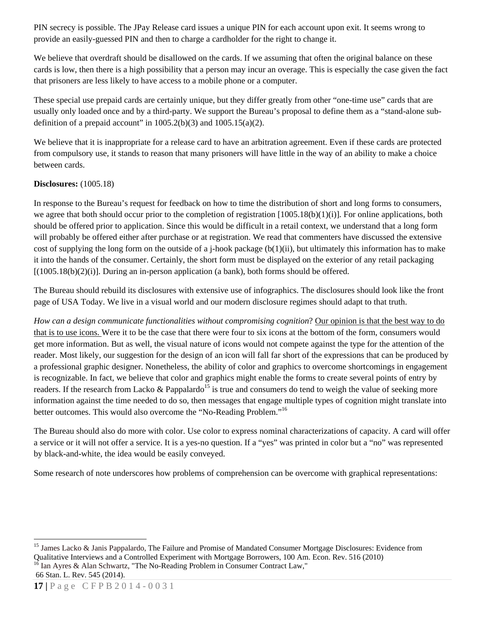PIN secrecy is possible. The JPay Release card issues a unique PIN for each account upon exit. It seems wrong to provide an easily-guessed PIN and then to charge a cardholder for the right to change it.

We believe that overdraft should be disallowed on the cards. If we assuming that often the original balance on these cards is low, then there is a high possibility that a person may incur an overage. This is especially the case given the fact that prisoners are less likely to have access to a mobile phone or a computer.

These special use prepaid cards are certainly unique, but they differ greatly from other "one-time use" cards that are usually only loaded once and by a third-party. We support the Bureau's proposal to define them as a "stand-alone subdefinition of a prepaid account" in  $1005.2(b)(3)$  and  $1005.15(a)(2)$ .

We believe that it is inappropriate for a release card to have an arbitration agreement. Even if these cards are protected from compulsory use, it stands to reason that many prisoners will have little in the way of an ability to make a choice between cards.

### **Disclosures:** (1005.18)

In response to the Bureau's request for feedback on how to time the distribution of short and long forms to consumers, we agree that both should occur prior to the completion of registration  $[1005.18(b)(1)(i)]$ . For online applications, both should be offered prior to application. Since this would be difficult in a retail context, we understand that a long form will probably be offered either after purchase or at registration. We read that commenters have discussed the extensive cost of supplying the long form on the outside of a j-hook package  $(b(1)(ii))$ , but ultimately this information has to make it into the hands of the consumer. Certainly, the short form must be displayed on the exterior of any retail packaging  $[(1005.18(b)(2)(i))]$ . During an in-person application (a bank), both forms should be offered.

The Bureau should rebuild its disclosures with extensive use of infographics. The disclosures should look like the front page of USA Today. We live in a visual world and our modern disclosure regimes should adapt to that truth.

*How can a design communicate functionalities without compromising cognition*? Our opinion is that the best way to do that is to use icons. Were it to be the case that there were four to six icons at the bottom of the form, consumers would get more information. But as well, the visual nature of icons would not compete against the type for the attention of the reader. Most likely, our suggestion for the design of an icon will fall far short of the expressions that can be produced by a professional graphic designer. Nonetheless, the ability of color and graphics to overcome shortcomings in engagement is recognizable. In fact, we believe that color and graphics might enable the forms to create several points of entry by readers. If the research from Lacko & Pappalardo<sup>15</sup> is true and consumers do tend to weigh the value of seeking more information against the time needed to do so, then messages that engage multiple types of cognition might translate into better outcomes. This would also overcome the "No-Reading Problem."<sup>16</sup>

The Bureau should also do more with color. Use color to express nominal characterizations of capacity. A card will offer a service or it will not offer a service. It is a yes-no question. If a "yes" was printed in color but a "no" was represented by black-and-white, the idea would be easily conveyed.

Some research of note underscores how problems of comprehension can be overcome with graphical representations:

<sup>&</sup>lt;sup>15</sup> James Lacko & Janis Pappalardo, The Failure and Promise of Mandated Consumer Mortgage Disclosures: Evidence from Qualitative Interviews and a Controlled Experiment with Mortgage Borrowers, 100 Am. Econ. Rev. 516 (2010) <sup>16</sup> Ian Ayres & Alan Schwartz, "The No-Reading Problem in Consumer Contract Law," 66 Stan. L. Rev. 545 (2014).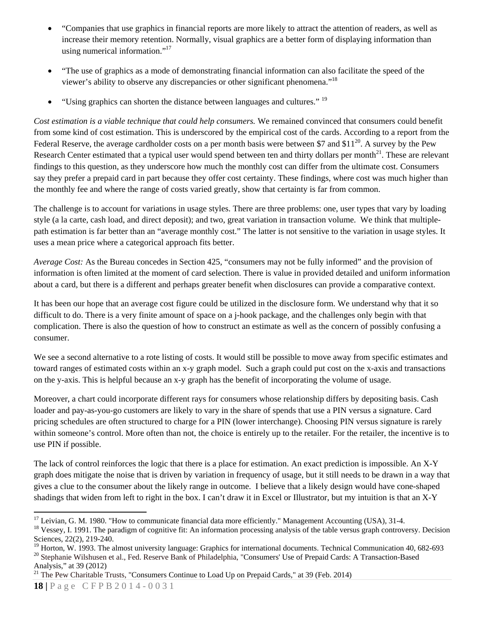- "Companies that use graphics in financial reports are more likely to attract the attention of readers, as well as increase their memory retention. Normally, visual graphics are a better form of displaying information than using numerical information."<sup>17</sup>
- "The use of graphics as a mode of demonstrating financial information can also facilitate the speed of the viewer's ability to observe any discrepancies or other significant phenomena."18
- "Using graphics can shorten the distance between languages and cultures." <sup>19</sup>

*Cost estimation is a viable technique that could help consumers.* We remained convinced that consumers could benefit from some kind of cost estimation. This is underscored by the empirical cost of the cards. According to a report from the Federal Reserve, the average cardholder costs on a per month basis were between \$7 and \$11<sup>20</sup>. A survey by the Pew Research Center estimated that a typical user would spend between ten and thirty dollars per month $^{21}$ . These are relevant findings to this question, as they underscore how much the monthly cost can differ from the ultimate cost. Consumers say they prefer a prepaid card in part because they offer cost certainty. These findings, where cost was much higher than the monthly fee and where the range of costs varied greatly, show that certainty is far from common.

The challenge is to account for variations in usage styles. There are three problems: one, user types that vary by loading style (a la carte, cash load, and direct deposit); and two, great variation in transaction volume. We think that multiplepath estimation is far better than an "average monthly cost." The latter is not sensitive to the variation in usage styles. It uses a mean price where a categorical approach fits better.

*Average Cost:* As the Bureau concedes in Section 425, "consumers may not be fully informed" and the provision of information is often limited at the moment of card selection. There is value in provided detailed and uniform information about a card, but there is a different and perhaps greater benefit when disclosures can provide a comparative context.

It has been our hope that an average cost figure could be utilized in the disclosure form. We understand why that it so difficult to do. There is a very finite amount of space on a j-hook package, and the challenges only begin with that complication. There is also the question of how to construct an estimate as well as the concern of possibly confusing a consumer.

We see a second alternative to a rote listing of costs. It would still be possible to move away from specific estimates and toward ranges of estimated costs within an x-y graph model. Such a graph could put cost on the x-axis and transactions on the y-axis. This is helpful because an x-y graph has the benefit of incorporating the volume of usage.

Moreover, a chart could incorporate different rays for consumers whose relationship differs by depositing basis. Cash loader and pay-as-you-go customers are likely to vary in the share of spends that use a PIN versus a signature. Card pricing schedules are often structured to charge for a PIN (lower interchange). Choosing PIN versus signature is rarely within someone's control. More often than not, the choice is entirely up to the retailer. For the retailer, the incentive is to use PIN if possible.

The lack of control reinforces the logic that there is a place for estimation. An exact prediction is impossible. An X-Y graph does mitigate the noise that is driven by variation in frequency of usage, but it still needs to be drawn in a way that gives a clue to the consumer about the likely range in outcome. I believe that a likely design would have cone-shaped shadings that widen from left to right in the box. I can't draw it in Excel or Illustrator, but my intuition is that an X-Y

<sup>21</sup> The Pew Charitable Trusts, "Consumers Continue to Load Up on Prepaid Cards," at 39 (Feb. 2014)

 $\overline{a}$  $17$  Leivian, G. M. 1980. "How to communicate financial data more efficiently." Management Accounting (USA), 31-4.

<sup>&</sup>lt;sup>18</sup> Vessey, I. 1991. The paradigm of cognitive fit: An information processing analysis of the table versus graph controversy. Decision Sciences, 22(2), 219-240.

<sup>&</sup>lt;sup>19</sup> Horton, W. 1993. The almost university language: Graphics for international documents. Technical Communication 40, 682-693 <sup>20</sup> Stephanie Wilshusen et al., Fed. Reserve Bank of Philadelphia, "Consumers' Use of Prepaid Cards: A Transaction-Based Analysis," at 39 (2012)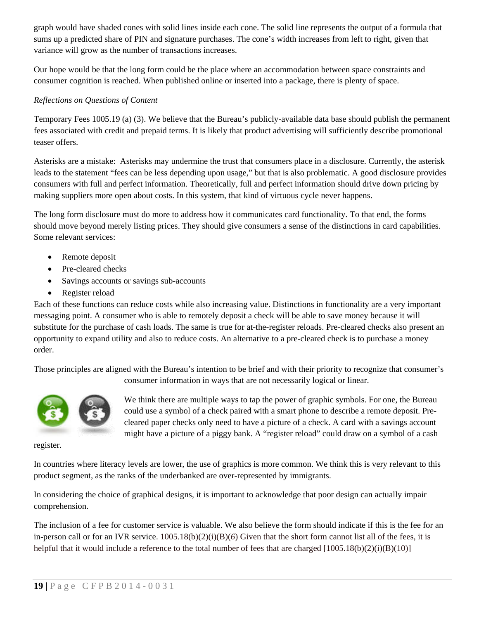graph would have shaded cones with solid lines inside each cone. The solid line represents the output of a formula that sums up a predicted share of PIN and signature purchases. The cone's width increases from left to right, given that variance will grow as the number of transactions increases.

Our hope would be that the long form could be the place where an accommodation between space constraints and consumer cognition is reached. When published online or inserted into a package, there is plenty of space.

## *Reflections on Questions of Content*

Temporary Fees 1005.19 (a) (3). We believe that the Bureau's publicly-available data base should publish the permanent fees associated with credit and prepaid terms. It is likely that product advertising will sufficiently describe promotional teaser offers.

Asterisks are a mistake: Asterisks may undermine the trust that consumers place in a disclosure. Currently, the asterisk leads to the statement "fees can be less depending upon usage," but that is also problematic. A good disclosure provides consumers with full and perfect information. Theoretically, full and perfect information should drive down pricing by making suppliers more open about costs. In this system, that kind of virtuous cycle never happens.

The long form disclosure must do more to address how it communicates card functionality*.* To that end, the forms should move beyond merely listing prices. They should give consumers a sense of the distinctions in card capabilities. Some relevant services:

- Remote deposit
- Pre-cleared checks
- Savings accounts or savings sub-accounts
- Register reload

Each of these functions can reduce costs while also increasing value. Distinctions in functionality are a very important messaging point. A consumer who is able to remotely deposit a check will be able to save money because it will substitute for the purchase of cash loads. The same is true for at-the-register reloads. Pre-cleared checks also present an opportunity to expand utility and also to reduce costs. An alternative to a pre-cleared check is to purchase a money order.

Those principles are aligned with the Bureau's intention to be brief and with their priority to recognize that consumer's consumer information in ways that are not necessarily logical or linear.



We think there are multiple ways to tap the power of graphic symbols. For one, the Bureau could use a symbol of a check paired with a smart phone to describe a remote deposit. Precleared paper checks only need to have a picture of a check. A card with a savings account might have a picture of a piggy bank. A "register reload" could draw on a symbol of a cash

register.

In countries where literacy levels are lower, the use of graphics is more common. We think this is very relevant to this product segment, as the ranks of the underbanked are over-represented by immigrants.

In considering the choice of graphical designs, it is important to acknowledge that poor design can actually impair comprehension.

The inclusion of a fee for customer service is valuable. We also believe the form should indicate if this is the fee for an in-person call or for an IVR service.  $1005.18(b)(2)(i)(B)(6)$  Given that the short form cannot list all of the fees, it is helpful that it would include a reference to the total number of fees that are charged  $(1005.18(b)(2)(i)(B)(10)$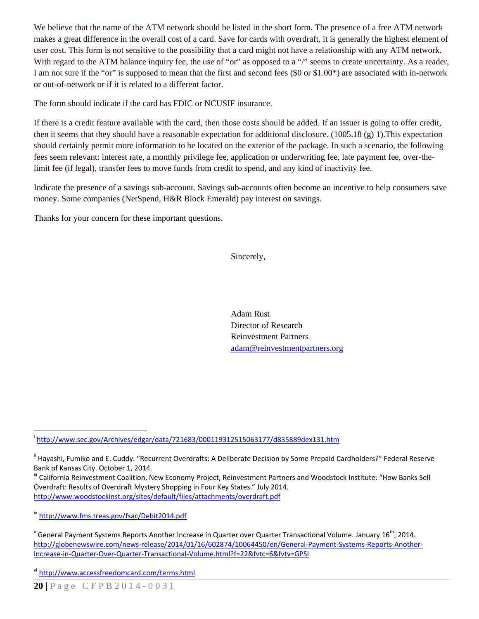We believe that the name of the ATM network should be listed in the short form. The presence of a free ATM network makes a great difference in the overall cost of a card. Save for cards with overdraft, it is generally the highest element of user cost. This form is not sensitive to the possibility that a card might not have a relationship with any ATM network. With regard to the ATM balance inquiry fee, the use of "or" as opposed to a "/" seems to create uncertainty. As a reader, I am not sure if the "or" is supposed to mean that the first and second fees (\$0 or \$1.00\*) are associated with in-network or out-of-network or if it is related to a different factor.

The form should indicate if the card has FDIC or NCUSIF insurance.

If there is a credit feature available with the card, then those costs should be added. If an issuer is going to offer credit, then it seems that they should have a reasonable expectation for additional disclosure. (1005.18 (g) 1).This expectation should certainly permit more information to be located on the exterior of the package. In such a scenario, the following fees seem relevant: interest rate, a monthly privilege fee, application or underwriting fee, late payment fee, over-thelimit fee (if legal), transfer fees to move funds from credit to spend, and any kind of inactivity fee.

Indicate the presence of a savings sub-account. Savings sub-accounts often become an incentive to help consumers save money. Some companies (NetSpend, H&R Block Emerald) pay interest on savings.

Thanks for your concern for these important questions.

Sincerely,

Adam Rust Director of Research Reinvestment Partners adam@reinvestmentpartners.org

 $\overline{a}$ i http://www.sec.gov/Archives/edgar/data/721683/000119312515063177/d835889dex131.htm

ii Hayashi, Fumiko and E. Cuddy. "Recurrent Overdrafts: A Deliberate Decision by Some Prepaid Cardholders?" Federal Reserve Bank of Kansas City. October 1, 2014.<br><sup>III</sup> California Reinvestment Coalition, New Economy Project, Reinvestment Partners and Woodstock Institute: "How Banks Sell

Overdraft: Results of Overdraft Mystery Shopping in Four Key States." July 2014. http://www.woodstockinst.org/sites/default/files/attachments/overdraft.pdf

iv http://www.fms.treas.gov/fsac/Debit2014.pdf

 $^{\text{v}}$  General Payment Systems Reports Another Increase in Quarter over Quarter Transactional Volume. January 16<sup>th</sup>, 2014. http://globenewswire.com/news‐release/2014/01/16/602874/10064450/en/General‐Payment‐Systems‐Reports‐Another‐ Increase‐in‐Quarter‐Over‐Quarter‐Transactional‐Volume.html?f=22&fvtc=6&fvtv=GPSI

vi http://www.accessfreedomcard.com/terms.html